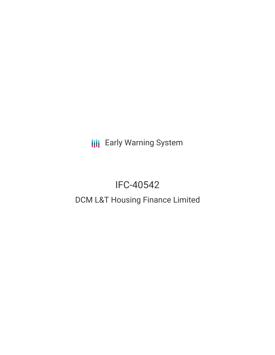**III** Early Warning System

# IFC-40542

# DCM L&T Housing Finance Limited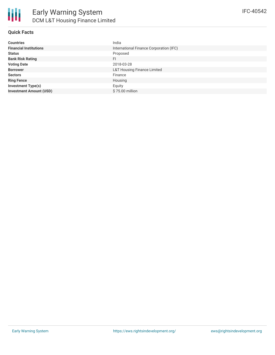

#### **Quick Facts**

| <b>Countries</b>               | India                                   |
|--------------------------------|-----------------------------------------|
| <b>Financial Institutions</b>  | International Finance Corporation (IFC) |
| <b>Status</b>                  | Proposed                                |
| <b>Bank Risk Rating</b>        | FI.                                     |
| <b>Voting Date</b>             | 2018-03-28                              |
| <b>Borrower</b>                | <b>L&amp;T Housing Finance Limited</b>  |
| <b>Sectors</b>                 | Finance                                 |
| <b>Ring Fence</b>              | Housing                                 |
| <b>Investment Type(s)</b>      | Equity                                  |
| <b>Investment Amount (USD)</b> | \$75.00 million                         |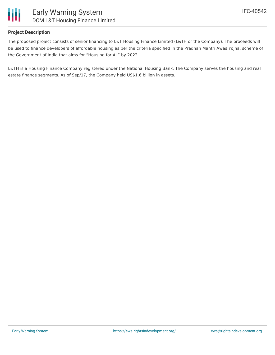

#### **Project Description**

The proposed project consists of senior financing to L&T Housing Finance Limited (L&TH or the Company). The proceeds will be used to finance developers of affordable housing as per the criteria specified in the Pradhan Mantri Awas Yojna, scheme of the Government of India that aims for "Housing for All" by 2022.

L&TH is a Housing Finance Company registered under the National Housing Bank. The Company serves the housing and real estate finance segments. As of Sep/17, the Company held US\$1.6 billion in assets.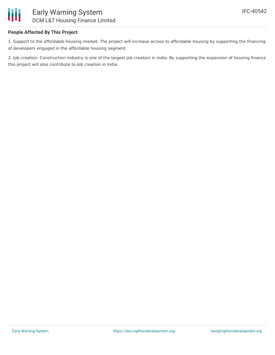

#### **People Affected By This Project**

1. Support to the affordable housing market: The project will increase access to affordable housing by supporting the financing of developers engaged in the affordable housing segment.

2. Job creation: Construction industry is one of the largest job creators in India. By supporting the expansion of housing finance this project will also contribute to job creation in India.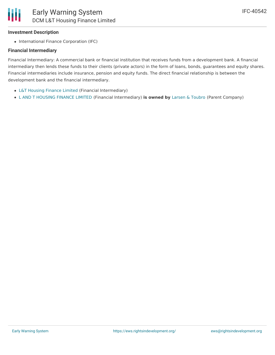#### **Investment Description**

• International Finance Corporation (IFC)

#### **Financial Intermediary**

Financial Intermediary: A commercial bank or financial institution that receives funds from a development bank. A financial intermediary then lends these funds to their clients (private actors) in the form of loans, bonds, guarantees and equity shares. Financial intermediaries include insurance, pension and equity funds. The direct financial relationship is between the development bank and the financial intermediary.

- L&T [Housing](file:///actor/597/) Finance Limited (Financial Intermediary)
- L AND T [HOUSING](file:///actor/4064/) FINANCE LIMITED (Financial Intermediary) **is owned by** Larsen & [Toubro](file:///actor/3578/) (Parent Company)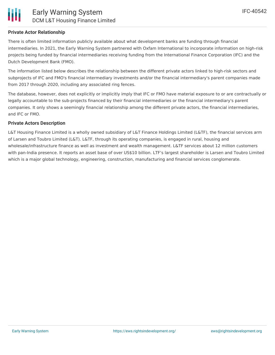#### **Private Actor Relationship**

There is often limited information publicly available about what development banks are funding through financial intermediaries. In 2021, the Early Warning System partnered with Oxfam International to incorporate information on high-risk projects being funded by financial intermediaries receiving funding from the International Finance Corporation (IFC) and the Dutch Development Bank (FMO).

The information listed below describes the relationship between the different private actors linked to high-risk sectors and subprojects of IFC and FMO's financial intermediary investments and/or the financial intermediary's parent companies made from 2017 through 2020, including any associated ring fences.

The database, however, does not explicitly or implicitly imply that IFC or FMO have material exposure to or are contractually or legally accountable to the sub-projects financed by their financial intermediaries or the financial intermediary's parent companies. It only shows a seemingly financial relationship among the different private actors, the financial intermediaries, and IFC or FMO.

#### **Private Actors Description**

L&T Housing Finance Limited is a wholly owned subsidiary of L&T Finance Holdings Limited (L&TF), the financial services arm of Larsen and Toubro Limited (L&T). L&TF, through its operating companies, is engaged in rural, housing and wholesale/infrastructure finance as well as investment and wealth management. L&TF services about 12 million customers with pan-India presence. It reports an asset base of over US\$10 billion. LTF's largest shareholder is Larsen and Toubro Limited which is a major global technology, engineering, construction, manufacturing and financial services conglomerate.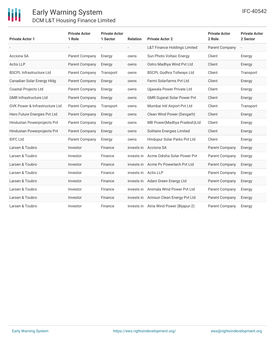| <b>Private Actor 1</b>                    | <b>Private Actor</b><br>1 Role | <b>Private Actor</b><br>1 Sector | <b>Relation</b>          | <b>Private Actor 2</b>                  | <b>Private Actor</b><br>2 Role | <b>Private Actor</b><br>2 Sector |
|-------------------------------------------|--------------------------------|----------------------------------|--------------------------|-----------------------------------------|--------------------------------|----------------------------------|
|                                           |                                | $\overline{\phantom{a}}$         | $\overline{\phantom{0}}$ | <b>L&amp;T Finance Holdings Limited</b> | Parent Company                 | $\qquad \qquad -$                |
| Acciona SA                                | Parent Company                 | Energy                           | owns                     | Sun Photo Voltaic Energy                | Client                         | Energy                           |
| <b>Actis LLP</b>                          | <b>Parent Company</b>          | Energy                           | owns                     | Ostro Madhya Wind Pvt Ltd               | Client                         | Energy                           |
| <b>BSCPL Infrastructure Ltd</b>           | Parent Company                 | Transport                        | owns                     | <b>BSCPL Godhra Tollways Ltd</b>        | Client                         | Transport                        |
| Canadian Solar Energy Hldg                | <b>Parent Company</b>          | Energy                           | owns                     | Fermi Solarfarms Pvt Ltd                | Client                         | Energy                           |
| <b>Coastal Projects Ltd</b>               | Parent Company                 | Energy                           | owns                     | Ujjawala Power Private Ltd              | Client                         | Energy                           |
| <b>GMR Infrastructure Ltd</b>             | Parent Company                 | Energy                           | owns                     | <b>GMR Gujarat Solar Power Pvt</b>      | Client                         | Energy                           |
| <b>GVK Power &amp; Infrastructure Ltd</b> | Parent Company                 | Transport                        | owns                     | Mumbai Intl Airport Pvt Ltd             | Client                         | Transport                        |
| Hero Future Energies Pvt Ltd              | <b>Parent Company</b>          | Energy                           | owns                     | Clean Wind Power (Devgarh)              | Client                         | Energy                           |
| Hindustan Powerprojects Pvt               | Parent Company                 | Energy                           | owns                     | MB Power (Madhya Pradesh) Ltd           | Client                         | Energy                           |
| Hindustan Powerprojects Pvt               | Parent Company                 | Energy                           | owns                     | Solitaire Energies Limited              | Client                         | Energy                           |
| <b>IDFC Ltd</b>                           | Parent Company                 | Energy                           | owns                     | Hindupur Solar Parks Pvt Ltd            | Client                         | Energy                           |
| Larsen & Toubro                           | Investor                       | Finance                          | invests in               | Acciona SA                              | <b>Parent Company</b>          | Energy                           |
| Larsen & Toubro                           | Investor                       | Finance                          | invests in               | Acme Odisha Solar Power Pvt             | Parent Company                 | Energy                           |
| Larsen & Toubro                           | Investor                       | Finance                          | invests in               | Acme Py Powertech Pyt Ltd               | Parent Company                 | Energy                           |
| Larsen & Toubro                           | Investor                       | Finance                          | invests in Actis LLP     |                                         | Parent Company                 | Energy                           |
| Larsen & Toubro                           | Investor                       | Finance                          | invests in               | Adani Green Energy Ltd                  | Parent Company                 | Energy                           |
| Larsen & Toubro                           | Investor                       | Finance                          | invests in               | Animala Wind Power Pvt Ltd              | Parent Company                 | Energy                           |
| Larsen & Toubro                           | Investor                       | Finance                          | invests in               | Arinsun Clean Energy Pvt Ltd            | Parent Company                 | Energy                           |
| Larsen & Toubro                           | Investor                       | Finance                          |                          | invests in Atria Wind Power (Bijapur-2) | Parent Company                 | Energy                           |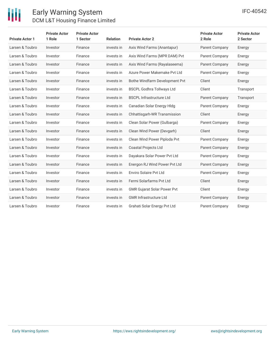

| <b>Private Actor 1</b> | <b>Private Actor</b><br>1 Role | <b>Private Actor</b><br>1 Sector | <b>Relation</b> | <b>Private Actor 2</b>             | <b>Private Actor</b><br>2 Role | <b>Private Actor</b><br>2 Sector |
|------------------------|--------------------------------|----------------------------------|-----------------|------------------------------------|--------------------------------|----------------------------------|
| Larsen & Toubro        | Investor                       | Finance                          | invests in      | Axis Wind Farms (Anantapur)        | Parent Company                 | Energy                           |
| Larsen & Toubro        | Investor                       | Finance                          | invests in      | Axis Wind Farms (MPR DAM) Pvt      | Parent Company                 | Energy                           |
| Larsen & Toubro        | Investor                       | Finance                          | invests in      | Axis Wind Farms (Rayalaseema)      | <b>Parent Company</b>          | Energy                           |
| Larsen & Toubro        | Investor                       | Finance                          | invests in      | Azure Power Makemake Pyt Ltd       | Parent Company                 | Energy                           |
| Larsen & Toubro        | Investor                       | Finance                          | invests in      | Bothe Windfarm Development Pvt     | Client                         | Energy                           |
| Larsen & Toubro        | Investor                       | Finance                          | invests in      | <b>BSCPL Godhra Tollways Ltd</b>   | Client                         | Transport                        |
| Larsen & Toubro        | Investor                       | Finance                          | invests in      | <b>BSCPL Infrastructure Ltd</b>    | Parent Company                 | Transport                        |
| Larsen & Toubro        | Investor                       | Finance                          | invests in      | Canadian Solar Energy Hldg         | <b>Parent Company</b>          | Energy                           |
| Larsen & Toubro        | Investor                       | Finance                          | invests in      | Chhattisgarh-WR Transmission       | Client                         | Energy                           |
| Larsen & Toubro        | Investor                       | Finance                          | invests in      | Clean Solar Power (Gulbarga)       | Parent Company                 | Energy                           |
| Larsen & Toubro        | Investor                       | Finance                          | invests in      | Clean Wind Power (Devgarh)         | Client                         | Energy                           |
| Larsen & Toubro        | Investor                       | Finance                          | invests in      | Clean Wind Power Piploda Pvt       | Parent Company                 | Energy                           |
| Larsen & Toubro        | Investor                       | Finance                          | invests in      | Coastal Projects Ltd               | Parent Company                 | Energy                           |
| Larsen & Toubro        | Investor                       | Finance                          | invests in      | Dayakara Solar Power Pvt Ltd       | <b>Parent Company</b>          | Energy                           |
| Larsen & Toubro        | Investor                       | Finance                          | invests in      | Energon RJ Wind Power Pvt Ltd      | Parent Company                 | Energy                           |
| Larsen & Toubro        | Investor                       | Finance                          | invests in      | Enviro Solaire Pvt Ltd             | Parent Company                 | Energy                           |
| Larsen & Toubro        | Investor                       | Finance                          | invests in      | Fermi Solarfarms Pvt Ltd           | Client                         | Energy                           |
| Larsen & Toubro        | Investor                       | Finance                          | invests in      | <b>GMR Gujarat Solar Power Pvt</b> | Client                         | Energy                           |
| Larsen & Toubro        | Investor                       | Finance                          | invests in      | <b>GMR Infrastructure Ltd</b>      | Parent Company                 | Energy                           |
| Larsen & Toubro        | Investor                       | Finance                          | invests in      | Grahati Solar Energy Pvt Ltd       | Parent Company                 | Energy                           |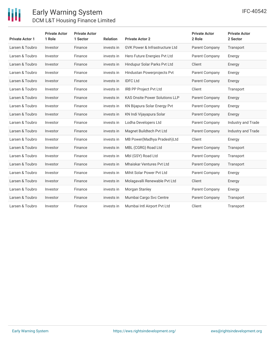

| <b>Private Actor 1</b> | <b>Private Actor</b><br>1 Role | <b>Private Actor</b><br>1 Sector | <b>Relation</b> | <b>Private Actor 2</b>                    | <b>Private Actor</b><br>2 Role | <b>Private Actor</b><br>2 Sector |
|------------------------|--------------------------------|----------------------------------|-----------------|-------------------------------------------|--------------------------------|----------------------------------|
| Larsen & Toubro        | Investor                       | Finance                          | invests in      | <b>GVK Power &amp; Infrastructure Ltd</b> | Parent Company                 | Transport                        |
| Larsen & Toubro        | Investor                       | Finance                          | invests in      | Hero Future Energies Pvt Ltd              | Parent Company                 | Energy                           |
| Larsen & Toubro        | Investor                       | Finance                          | invests in      | Hindupur Solar Parks Pvt Ltd              | Client                         | Energy                           |
| Larsen & Toubro        | Investor                       | Finance                          | invests in      | Hindustan Powerprojects Pvt               | Parent Company                 | Energy                           |
| Larsen & Toubro        | Investor                       | Finance                          | invests in      | <b>IDFC Ltd</b>                           | Parent Company                 | Energy                           |
| Larsen & Toubro        | Investor                       | Finance                          | invests in      | <b>IRB PP Project Pvt Ltd</b>             | Client                         | Transport                        |
| Larsen & Toubro        | Investor                       | Finance                          | invests in      | <b>KAS Onsite Power Solutions LLP</b>     | Parent Company                 | Energy                           |
| Larsen & Toubro        | Investor                       | Finance                          | invests in      | KN Bijapura Solar Energy Pvt              | Parent Company                 | Energy                           |
| Larsen & Toubro        | Investor                       | Finance                          | invests in      | KN Indi Vijayapura Solar                  | Parent Company                 | Energy                           |
| Larsen & Toubro        | Investor                       | Finance                          | invests in      | Lodha Developers Ltd                      | Parent Company                 | Industry and Trade               |
| Larsen & Toubro        | Investor                       | Finance                          | invests in      | Magnet Buildtech Pvt Ltd                  | Parent Company                 | Industry and Trade               |
| Larsen & Toubro        | Investor                       | Finance                          | invests in      | MB Power(Madhya Pradesh)Ltd               | Client                         | Energy                           |
| Larsen & Toubro        | Investor                       | Finance                          | invests in      | MBL (CGRG) Road Ltd                       | <b>Parent Company</b>          | Transport                        |
| Larsen & Toubro        | Investor                       | Finance                          | invests in      | Mbl (GSY) Road Ltd                        | Parent Company                 | Transport                        |
| Larsen & Toubro        | Investor                       | Finance                          | invests in      | <b>Mhaiskar Ventures Pvt Ltd</b>          | Parent Company                 | Transport                        |
| Larsen & Toubro        | Investor                       | Finance                          | invests in      | Mihit Solar Power Pvt Ltd                 | Parent Company                 | Energy                           |
| Larsen & Toubro        | Investor                       | Finance                          | invests in      | Molagavalli Renewable Pvt Ltd             | Client                         | Energy                           |
| Larsen & Toubro        | Investor                       | Finance                          | invests in      | Morgan Stanley                            | Parent Company                 | Energy                           |
| Larsen & Toubro        | Investor                       | Finance                          | invests in      | Mumbai Cargo Svc Centre                   | Parent Company                 | Transport                        |
| Larsen & Toubro        | Investor                       | Finance                          | invests in      | Mumbai Intl Airport Pvt Ltd               | Client                         | Transport                        |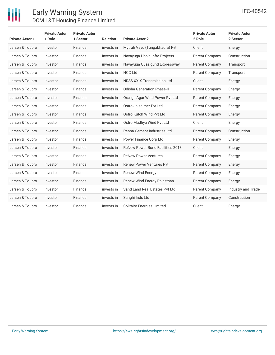

| <b>Private Actor 1</b> | <b>Private Actor</b><br>1 Role | <b>Private Actor</b><br>1 Sector | <b>Relation</b> | <b>Private Actor 2</b>                  | <b>Private Actor</b><br>2 Role | <b>Private Actor</b><br>2 Sector |
|------------------------|--------------------------------|----------------------------------|-----------------|-----------------------------------------|--------------------------------|----------------------------------|
| Larsen & Toubro        | Investor                       | Finance                          | invests in      | Mytrah Vayu (Tungabhadra) Pvt           | Client                         | Energy                           |
| Larsen & Toubro        | Investor                       | Finance                          | invests in      | Navayuga Dhola Infra Projects           | Parent Company                 | Construction                     |
| Larsen & Toubro        | Investor                       | Finance                          | invests in      | Navayuga Quazigund Expressway           | Parent Company                 | Transport                        |
| Larsen & Toubro        | Investor                       | Finance                          | invests in      | <b>NCC Ltd</b>                          | Parent Company                 | Transport                        |
| Larsen & Toubro        | Investor                       | Finance                          | invests in      | NRSS XXIX Transmission Ltd              | Client                         | Energy                           |
| Larsen & Toubro        | Investor                       | Finance                          | invests in      | Odisha Generation Phase-II              | Parent Company                 | Energy                           |
| Larsen & Toubro        | Investor                       | Finance                          | invests in      | Orange Agar Wind Power Pvt Ltd          | Parent Company                 | Energy                           |
| Larsen & Toubro        | Investor                       | Finance                          | invests in      | Ostro Jaisalmer Pvt Ltd                 | Parent Company                 | Energy                           |
| Larsen & Toubro        | Investor                       | Finance                          | invests in      | Ostro Kutch Wind Pvt Ltd                | Parent Company                 | Energy                           |
| Larsen & Toubro        | Investor                       | Finance                          | invests in      | Ostro Madhya Wind Pvt Ltd               | Client                         | Energy                           |
| Larsen & Toubro        | Investor                       | Finance                          | invests in      | Penna Cement Industries Ltd             | Parent Company                 | Construction                     |
| Larsen & Toubro        | Investor                       | Finance                          | invests in      | Power Finance Corp Ltd                  | Parent Company                 | Energy                           |
| Larsen & Toubro        | Investor                       | Finance                          | invests in      | <b>ReNew Power Bond Facilities 2018</b> | Client                         | Energy                           |
| Larsen & Toubro        | Investor                       | Finance                          | invests in      | <b>ReNew Power Ventures</b>             | Parent Company                 | Energy                           |
| Larsen & Toubro        | Investor                       | Finance                          | invests in      | <b>Renew Power Ventures Pvt</b>         | Parent Company                 | Energy                           |
| Larsen & Toubro        | Investor                       | Finance                          | invests in      | <b>Renew Wind Energy</b>                | Parent Company                 | Energy                           |
| Larsen & Toubro        | Investor                       | Finance                          | invests in      | Renew Wind Energy Rajasthan             | Parent Company                 | Energy                           |
| Larsen & Toubro        | Investor                       | Finance                          | invests in      | Sand Land Real Estates Pvt Ltd          | Parent Company                 | Industry and Trade               |
| Larsen & Toubro        | Investor                       | Finance                          | invests in      | Sanghi Inds Ltd                         | Parent Company                 | Construction                     |
| Larsen & Toubro        | Investor                       | Finance                          | invests in      | Solitaire Energies Limited              | Client                         | Energy                           |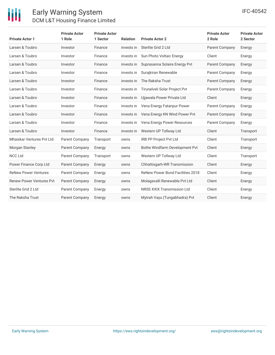| <b>Private Actor 1</b>          | <b>Private Actor</b><br>1 Role | <b>Private Actor</b><br>1 Sector | <b>Relation</b> | <b>Private Actor 2</b>                  | <b>Private Actor</b><br>2 Role | <b>Private Actor</b><br>2 Sector |
|---------------------------------|--------------------------------|----------------------------------|-----------------|-----------------------------------------|--------------------------------|----------------------------------|
| Larsen & Toubro                 | Investor                       | Finance                          | invests in      | Sterlite Grid 2 Ltd                     | Parent Company                 | Energy                           |
| Larsen & Toubro                 | Investor                       | Finance                          | invests in      | Sun Photo Voltaic Energy                | Client                         | Energy                           |
| Larsen & Toubro                 | Investor                       | Finance                          | invests in      | Suprasanna Solaire Energy Pvt           | Parent Company                 | Energy                           |
| Larsen & Toubro                 | Investor                       | Finance                          | invests in      | Surajkiran Renewable                    | Parent Company                 | Energy                           |
| Larsen & Toubro                 | Investor                       | Finance                          | invests in      | The Raksha Trust                        | Parent Company                 | Energy                           |
| Larsen & Toubro                 | Investor                       | Finance                          | invests in      | Tirunelveli Solar Project Pvt           | Parent Company                 | Energy                           |
| Larsen & Toubro                 | Investor                       | Finance                          | invests in      | Ujjawala Power Private Ltd              | Client                         | Energy                           |
| Larsen & Toubro                 | Investor                       | Finance                          | invests in      | Vena Energy Fatanpur Power              | <b>Parent Company</b>          | Energy                           |
| Larsen & Toubro                 | Investor                       | Finance                          | invests in      | Vena Energy KN Wind Power Pvt           | <b>Parent Company</b>          | Energy                           |
| Larsen & Toubro                 | Investor                       | Finance                          | invests in      | Vena Energy Power Resources             | Parent Company                 | Energy                           |
| Larsen & Toubro                 | Investor                       | Finance                          | invests in      | Western UP Tollway Ltd                  | Client                         | Transport                        |
| Mhaiskar Ventures Pvt Ltd       | Parent Company                 | Transport                        | owns            | <b>IRB PP Project Pvt Ltd</b>           | Client                         | Transport                        |
| Morgan Stanley                  | Parent Company                 | Energy                           | owns            | Bothe Windfarm Development Pvt          | Client                         | Energy                           |
| <b>NCC Ltd</b>                  | Parent Company                 | Transport                        | owns            | Western UP Tollway Ltd                  | Client                         | Transport                        |
| Power Finance Corp Ltd          | Parent Company                 | Energy                           | owns            | Chhattisgarh-WR Transmission            | Client                         | Energy                           |
| <b>ReNew Power Ventures</b>     | Parent Company                 | Energy                           | owns            | <b>ReNew Power Bond Facilities 2018</b> | Client                         | Energy                           |
| <b>Renew Power Ventures Pvt</b> | Parent Company                 | Energy                           | owns            | Molagavalli Renewable Pvt Ltd           | Client                         | Energy                           |
| Sterlite Grid 2 Ltd             | Parent Company                 | Energy                           | owns            | <b>NRSS XXIX Transmission Ltd</b>       | Client                         | Energy                           |
| The Raksha Trust                | Parent Company                 | Energy                           | owns            | Mytrah Vayu (Tungabhadra) Pyt           | Client                         | Energy                           |